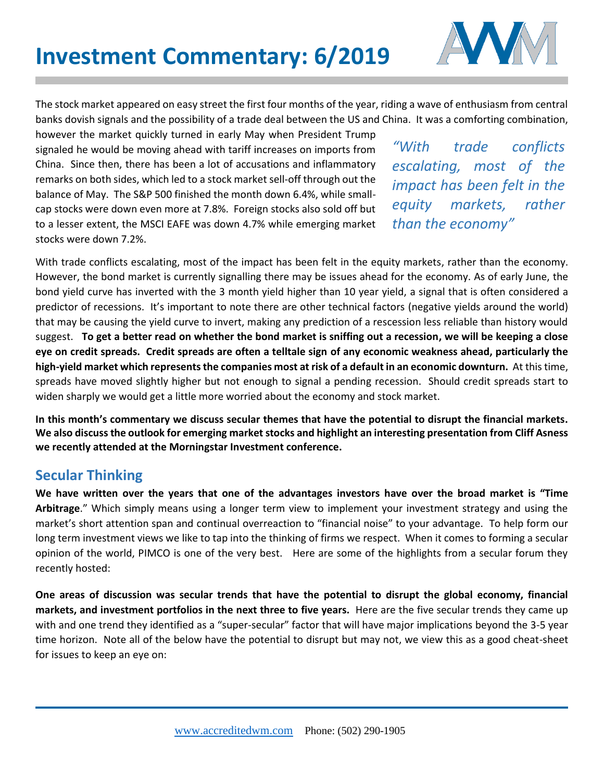

The stock market appeared on easy street the first four months of the year, riding a wave of enthusiasm from central banks dovish signals and the possibility of a trade deal between the US and China. It was a comforting combination,

however the market quickly turned in early May when President Trump signaled he would be moving ahead with tariff increases on imports from China. Since then, there has been a lot of accusations and inflammatory remarks on both sides, which led to a stock market sell-off through out the balance of May. The S&P 500 finished the month down 6.4%, while smallcap stocks were down even more at 7.8%. Foreign stocks also sold off but to a lesser extent, the MSCI EAFE was down 4.7% while emerging market stocks were down 7.2%.

*"With trade conflicts escalating, most of the impact has been felt in the equity markets, rather than the economy"* 

With trade conflicts escalating, most of the impact has been felt in the equity markets, rather than the economy. However, the bond market is currently signalling there may be issues ahead for the economy. As of early June, the bond yield curve has inverted with the 3 month yield higher than 10 year yield, a signal that is often considered a predictor of recessions. It's important to note there are other technical factors (negative yields around the world) that may be causing the yield curve to invert, making any prediction of a rescession less reliable than history would suggest. **To get a better read on whether the bond market is sniffing out a recession, we will be keeping a close eye on credit spreads. Credit spreads are often a telltale sign of any economic weakness ahead, particularly the high-yield market which represents the companies most at risk of a default in an economic downturn.** At this time, spreads have moved slightly higher but not enough to signal a pending recession. Should credit spreads start to widen sharply we would get a little more worried about the economy and stock market.

**In this month's commentary we discuss secular themes that have the potential to disrupt the financial markets. We also discuss the outlook for emerging market stocks and highlight an interesting presentation from Cliff Asness we recently attended at the Morningstar Investment conference.** 

## **Secular Thinking**

**We have written over the years that one of the advantages investors have over the broad market is "Time Arbitrage**." Which simply means using a longer term view to implement your investment strategy and using the market's short attention span and continual overreaction to "financial noise" to your advantage. To help form our long term investment views we like to tap into the thinking of firms we respect. When it comes to forming a secular opinion of the world, PIMCO is one of the very best. Here are some of the highlights from a secular forum they recently hosted:

**One areas of discussion was secular trends that have the potential to disrupt the global economy, financial markets, and investment portfolios in the next three to five years.** Here are the five secular trends they came up with and one trend they identified as a "super-secular" factor that will have major implications beyond the 3-5 year time horizon. Note all of the below have the potential to disrupt but may not, we view this as a good cheat-sheet for issues to keep an eye on: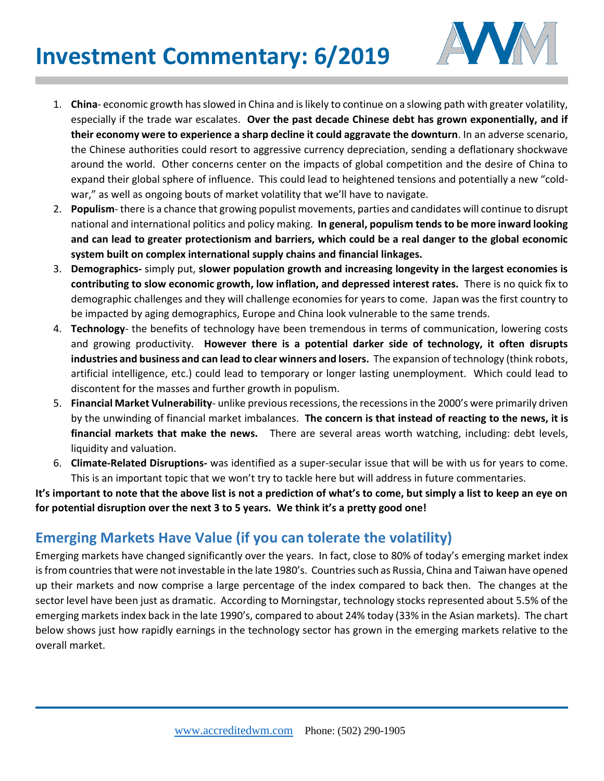## **Investment Commentary: 6/2019**



- 1. **China** economic growth has slowed in China and is likely to continue on a slowing path with greater volatility, especially if the trade war escalates. **Over the past decade Chinese debt has grown exponentially, and if their economy were to experience a sharp decline it could aggravate the downturn**. In an adverse scenario, the Chinese authorities could resort to aggressive currency depreciation, sending a deflationary shockwave around the world. Other concerns center on the impacts of global competition and the desire of China to expand their global sphere of influence. This could lead to heightened tensions and potentially a new "coldwar," as well as ongoing bouts of market volatility that we'll have to navigate.
- 2. **Populism** there is a chance that growing populist movements, parties and candidates will continue to disrupt national and international politics and policy making. **In general, populism tends to be more inward looking and can lead to greater protectionism and barriers, which could be a real danger to the global economic system built on complex international supply chains and financial linkages.**
- 3. **Demographics-** simply put, **slower population growth and increasing longevity in the largest economies is contributing to slow economic growth, low inflation, and depressed interest rates.** There is no quick fix to demographic challenges and they will challenge economies for years to come. Japan was the first country to be impacted by aging demographics, Europe and China look vulnerable to the same trends.
- 4. **Technology** the benefits of technology have been tremendous in terms of communication, lowering costs and growing productivity. **However there is a potential darker side of technology, it often disrupts industries and business and can lead to clear winners and losers.** The expansion of technology (think robots, artificial intelligence, etc.) could lead to temporary or longer lasting unemployment. Which could lead to discontent for the masses and further growth in populism.
- 5. **Financial Market Vulnerability** unlike previous recessions, the recessions in the 2000's were primarily driven by the unwinding of financial market imbalances. **The concern is that instead of reacting to the news, it is financial markets that make the news.** There are several areas worth watching, including: debt levels, liquidity and valuation.
- 6. **Climate-Related Disruptions-** was identified as a super-secular issue that will be with us for years to come. This is an important topic that we won't try to tackle here but will address in future commentaries.

**It's important to note that the above list is not a prediction of what's to come, but simply a list to keep an eye on for potential disruption over the next 3 to 5 years. We think it's a pretty good one!**

## **Emerging Markets Have Value (if you can tolerate the volatility)**

Emerging markets have changed significantly over the years. In fact, close to 80% of today's emerging market index is from countries that were not investable in the late 1980's. Countries such as Russia, China and Taiwan have opened up their markets and now comprise a large percentage of the index compared to back then. The changes at the sector level have been just as dramatic. According to Morningstar, technology stocks represented about 5.5% of the emerging markets index back in the late 1990's, compared to about 24% today (33% in the Asian markets). The chart below shows just how rapidly earnings in the technology sector has grown in the emerging markets relative to the overall market.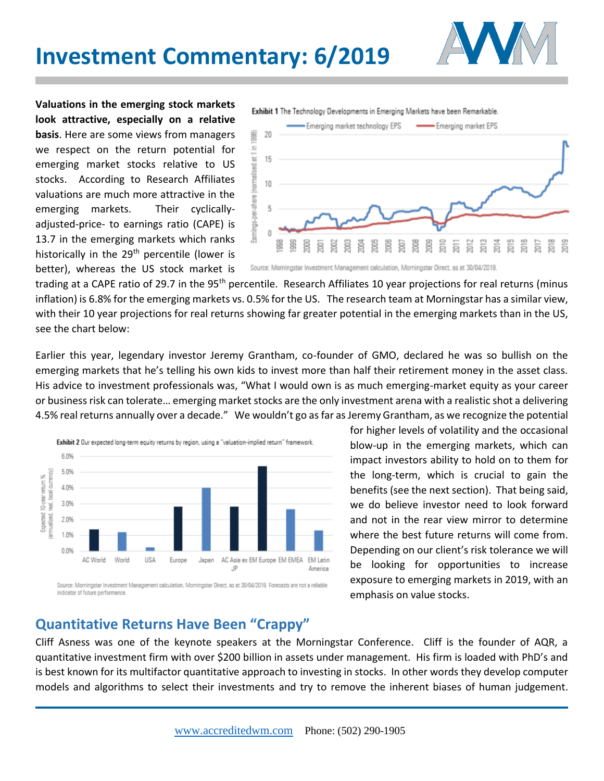

**Valuations in the emerging stock markets look attractive, especially on a relative basis**. Here are some views from managers we respect on the return potential for emerging market stocks relative to US stocks. According to Research Affiliates valuations are much more attractive in the emerging markets. Their cyclicallyadjusted-price- to earnings ratio (CAPE) is 13.7 in the emerging markets which ranks historically in the  $29<sup>th</sup>$  percentile (lower is better), whereas the US stock market is



Source: Morningstar Investment Management calculation, Morningstar Direct, as at 30/04/2019.

trading at a CAPE ratio of 29.7 in the 95<sup>th</sup> percentile. Research Affiliates 10 year projections for real returns (minus inflation) is 6.8% for the emerging markets vs. 0.5% for the US. The research team at Morningstar has a similar view, with their 10 year projections for real returns showing far greater potential in the emerging markets than in the US, see the chart below:

Earlier this year, legendary investor Jeremy Grantham, co-founder of GMO, declared he was so bullish on the emerging markets that he's telling his own kids to invest more than half their retirement money in the asset class. His advice to investment professionals was, "What I would own is as much emerging-market equity as your career or business risk can tolerate… emerging market stocks are the only investment arena with a realistic shot a delivering 4.5% real returns annually over a decade." We wouldn't go as far as Jeremy Grantham, as we recognize the potential



for higher levels of volatility and the occasional blow-up in the emerging markets, which can impact investors ability to hold on to them for the long-term, which is crucial to gain the benefits (see the next section). That being said, we do believe investor need to look forward and not in the rear view mirror to determine where the best future returns will come from. Depending on our client's risk tolerance we will be looking for opportunities to increase exposure to emerging markets in 2019, with an emphasis on value stocks.

## **Quantitative Returns Have Been "Crappy"**

Cliff Asness was one of the keynote speakers at the Morningstar Conference. Cliff is the founder of AQR, a quantitative investment firm with over \$200 billion in assets under management. His firm is loaded with PhD's and is best known for its multifactor quantitative approach to investing in stocks. In other words they develop computer models and algorithms to select their investments and try to remove the inherent biases of human judgement.